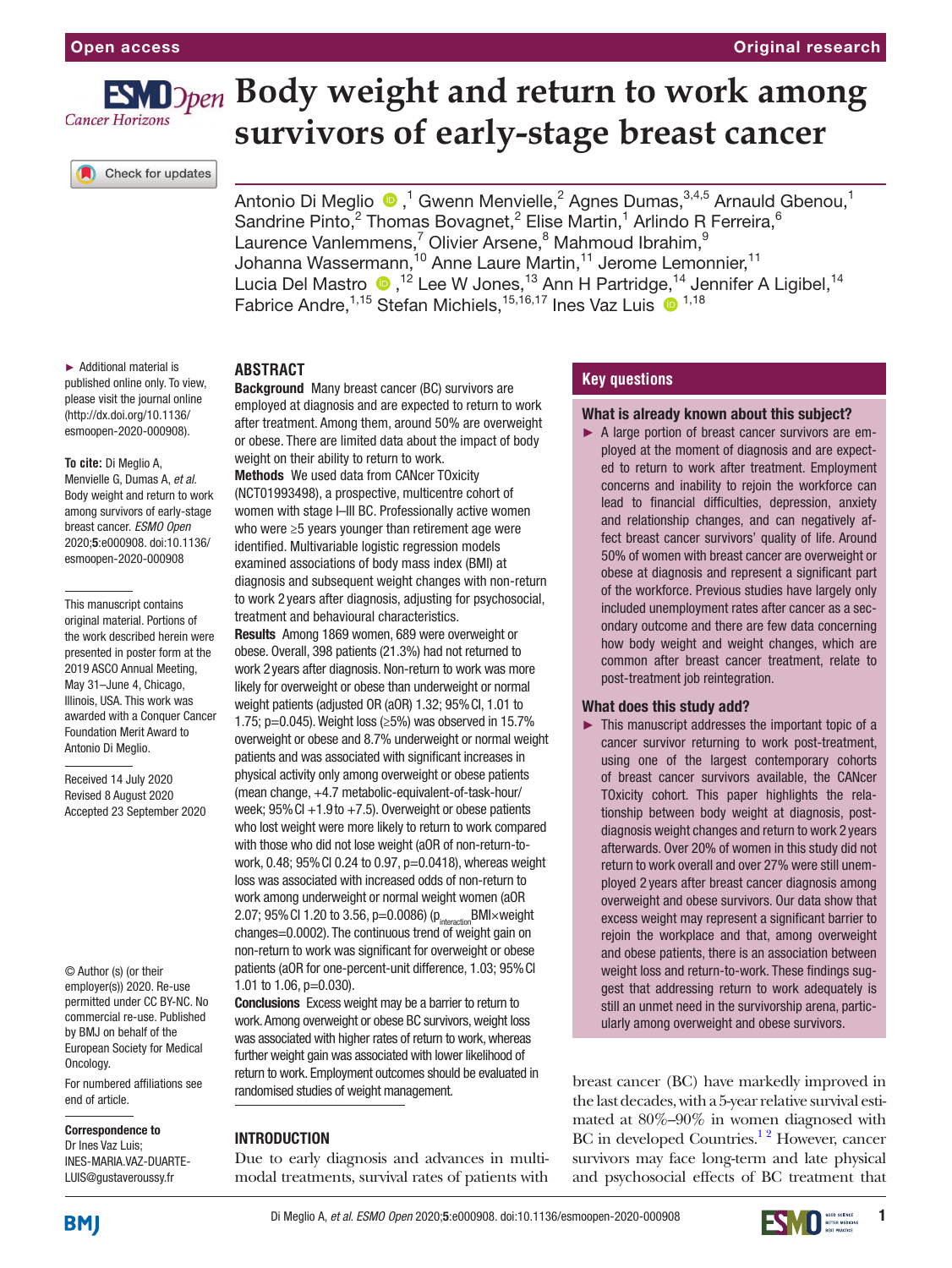

# **Body weight and return to work among Cancer Horizons survivors of early-stage breast cancer**

Check for updates

AntonioDi Meglio  $\bigcirc$ ,<sup>1</sup> Gwenn Menvielle,<sup>2</sup> Agnes Dumas,<sup>3,4,5</sup> Arnauld Gbenou,<sup>1</sup> Sandrine Pinto,<sup>2</sup> Thomas Bovagnet,<sup>2</sup> Elise Martin,<sup>1</sup> Arlindo R Ferreira,<sup>6</sup> Laurence Vanlemmens,<sup>7</sup> Olivier Arsene,<sup>8</sup> Mahmoud Ibrahim,<sup>9</sup> Johanna Wassermann,<sup>10</sup> Anne Laure Martin,<sup>11</sup> Jerome Lemonnier,<sup>11</sup> Lucia Del Mastro  $\bigcirc$ , <sup>12</sup> Lee W Jones, <sup>13</sup> Ann H Partridge, <sup>14</sup> Jennifer A Ligibel, <sup>14</sup> Fabrice Andre,<sup>1,15</sup> Stefan Michiels,<sup>15,16,17</sup> Ines Vaz Luis <sup>1,18</sup>

► Additional material is published online only. To view, please visit the journal online (http://dx.doi.org/10.1136/ esmoopen-2020-000908).

**To cite:** Di Meglio A, Menvielle G, Dumas A, *et al*. Body weight and return to work among survivors of early-stage breast cancer. *ESMO Open* 2020;5:e000908. doi:10.1136/ esmoopen-2020-000908

This manuscript contains original material. Portions of the work described herein were presented in poster form at the 2019 ASCO Annual Meeting, May 31–June 4, Chicago, Illinois, USA. This work was awarded with a Conquer Cancer Foundation Merit Award to Antonio Di Meglio.

Received 14 July 2020 Revised 8 August 2020 Accepted 23 September 2020

© Author (s) (or their employer(s)) 2020. Re-use permitted under CC BY-NC. No commercial re-use. Published by BMJ on behalf of the European Society for Medical Oncology.

For numbered affiliations see end of article.

### Correspondence to

Dr Ines Vaz Luis; INES-MARIA.VAZ-DUARTE-LUIS@gustaveroussy.fr

# **ABSTRACT**

Background Many breast cancer (BC) survivors are employed at diagnosis and are expected to return to work after treatment. Among them, around 50% are overweight or obese. There are limited data about the impact of body weight on their ability to return to work.

Methods We used data from CANcer TOxicity (NCT01993498), a prospective, multicentre cohort of women with stage I–III BC. Professionally active women who were ≥5 years younger than retirement age were identified. Multivariable logistic regression models examined associations of body mass index (BMI) at diagnosis and subsequent weight changes with non-return to work 2 years after diagnosis, adjusting for psychosocial, treatment and behavioural characteristics.

Results Among 1869 women, 689 were overweight or obese. Overall, 398 patients (21.3%) had not returned to work 2years after diagnosis. Non-return to work was more likely for overweight or obese than underweight or normal weight patients (adjusted OR (aOR) 1.32; 95%CI, 1.01 to 1.75; p=0.045). Weight loss (≥5%) was observed in 15.7% overweight or obese and 8.7% underweight or normal weight patients and was associated with significant increases in physical activity only among overweight or obese patients (mean change, +4.7 metabolic-equivalent-of-task-hour/ week;  $95\%$  Cl  $+1.9$  to  $+7.5$ ). Overweight or obese patients who lost weight were more likely to return to work compared with those who did not lose weight (aOR of non-return-towork, 0.48; 95%CI 0.24 to 0.97, p=0.0418), whereas weight loss was associated with increased odds of non-return to work among underweight or normal weight women (aOR 2.07; 95% CI 1.20 to 3.56, p=0.0086) (p<sub>interaction</sub>BMI×weight changes=0.0002). The continuous trend of weight gain on non-return to work was significant for overweight or obese patients (aOR for one-percent-unit difference, 1.03; 95% CI 1.01 to 1.06, p=0.030).

Conclusions Excess weight may be a barrier to return to work. Among overweight or obese BC survivors, weight loss was associated with higher rates of return to work, whereas further weight gain was associated with lower likelihood of return to work. Employment outcomes should be evaluated in randomised studies of weight management.

## INTRODUCTION

Due to early diagnosis and advances in multimodal treatments, survival rates of patients with

## **Key questions**

### What is already known about this subject?

► A large portion of breast cancer survivors are employed at the moment of diagnosis and are expected to return to work after treatment. Employment concerns and inability to rejoin the workforce can lead to financial difficulties, depression, anxiety and relationship changes, and can negatively affect breast cancer survivors' quality of life. Around 50% of women with breast cancer are overweight or obese at diagnosis and represent a significant part of the workforce. Previous studies have largely only included unemployment rates after cancer as a secondary outcome and there are few data concerning how body weight and weight changes, which are common after breast cancer treatment, relate to post-treatment job reintegration.

## What does this study add?

► This manuscript addresses the important topic of a cancer survivor returning to work post-treatment, using one of the largest contemporary cohorts of breast cancer survivors available, the CANcer TOxicity cohort. This paper highlights the relationship between body weight at diagnosis, postdiagnosis weight changes and return to work 2 years afterwards. Over 20% of women in this study did not return to work overall and over 27% were still unemployed 2 years after breast cancer diagnosis among overweight and obese survivors. Our data show that excess weight may represent a significant barrier to rejoin the workplace and that, among overweight and obese patients, there is an association between weight loss and return-to-work. These findings suggest that addressing return to work adequately is still an unmet need in the survivorship arena, particularly among overweight and obese survivors.

breast cancer (BC) have markedly improved in the last decades, with a 5-year relative survival estimated at 80%–90% in women diagnosed with BC in developed Countries.<sup>12</sup> However, cancer survivors may face long-term and late physical and psychosocial effects of BC treatment that



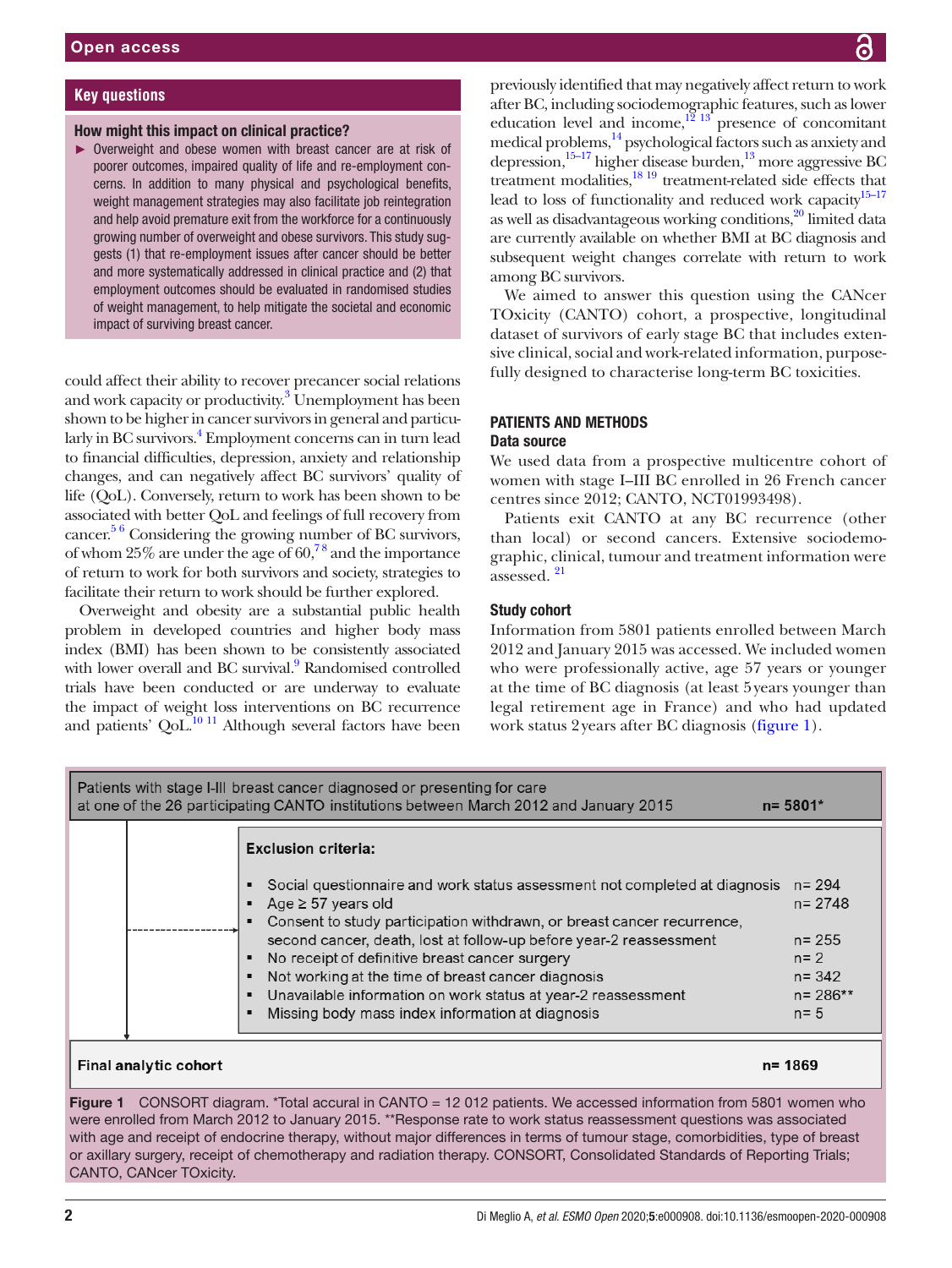## **Key questions**

### How might this impact on clinical practice?

► Overweight and obese women with breast cancer are at risk of poorer outcomes, impaired quality of life and re-employment concerns. In addition to many physical and psychological benefits, weight management strategies may also facilitate job reintegration and help avoid premature exit from the workforce for a continuously growing number of overweight and obese survivors. This study suggests (1) that re-employment issues after cancer should be better and more systematically addressed in clinical practice and (2) that employment outcomes should be evaluated in randomised studies of weight management, to help mitigate the societal and economic impact of surviving breast cancer.

could affect their ability to recover precancer social relations and work capacity or productivity.<sup>3</sup> Unemployment has been shown to be higher in cancer survivors in general and particularly in BC survivors.<sup>4</sup> Employment concerns can in turn lead to financial difficulties, depression, anxiety and relationship changes, and can negatively affect BC survivors' quality of life (QoL). Conversely, return to work has been shown to be associated with better QoL and feelings of full recovery from cancer. [5 6](#page-9-3) Considering the growing number of BC survivors, of whom 25% are under the age of 60,[7 8](#page-9-4) and the importance of return to work for both survivors and society, strategies to facilitate their return to work should be further explored.

Overweight and obesity are a substantial public health problem in developed countries and higher body mass index (BMI) has been shown to be consistently associated with lower overall and BC survival.<sup>9</sup> Randomised controlled trials have been conducted or are underway to evaluate the impact of weight loss interventions on BC recurrence and patients' QoL.<sup>10 11</sup> Although several factors have been

previously identified that may negatively affect return to work after BC, including sociodemographic features, such as lower education level and income, $12^{13}$  presence of concomitant medical problems,<sup>14</sup> psychological factors such as anxiety and depression,[15–17](#page-9-9) higher disease burden,[13](#page-9-10) more aggressive BC treatment modalities, $18^{19}$  treatment-related side effects that lead to loss of functionality and reduced work capacity $15-17$ as well as disadvantageous working conditions,<sup>[20](#page-9-12)</sup> limited data are currently available on whether BMI at BC diagnosis and subsequent weight changes correlate with return to work among BC survivors.

We aimed to answer this question using the CANcer TOxicity (CANTO) cohort, a prospective, longitudinal dataset of survivors of early stage BC that includes extensive clinical, social and work-related information, purposefully designed to characterise long-term BC toxicities.

# PATIENTS AND METHODS

# Data source

We used data from a prospective multicentre cohort of women with stage I–III BC enrolled in 26 French cancer centres since 2012; CANTO, NCT01993498).

Patients exit CANTO at any BC recurrence (other than local) or second cancers. Extensive sociodemographic, clinical, tumour and treatment information were assessed. [21](#page-9-13)

## Study cohort

Information from 5801 patients enrolled between March 2012 and January 2015 was accessed. We included women who were professionally active, age 57 years or younger at the time of BC diagnosis (at least 5years younger than legal retirement age in France) and who had updated work status 2years after BC diagnosis ([figure](#page-1-0) 1).

|                       | Patients with stage I-III breast cancer diagnosed or presenting for care<br>at one of the 26 participating CANTO institutions between March 2012 and January 2015                                                                                                                                                                                                         | $n = 5801*$                                               |
|-----------------------|---------------------------------------------------------------------------------------------------------------------------------------------------------------------------------------------------------------------------------------------------------------------------------------------------------------------------------------------------------------------------|-----------------------------------------------------------|
|                       | <b>Exclusion criteria:</b><br>Social questionnaire and work status assessment not completed at diagnosis<br>Age $\geq$ 57 years old                                                                                                                                                                                                                                       | $n = 294$<br>$n = 2748$                                   |
|                       | Consent to study participation withdrawn, or breast cancer recurrence,<br>second cancer, death, lost at follow-up before year-2 reassessment<br>No receipt of definitive breast cancer surgery<br>Not working at the time of breast cancer diagnosis<br>Unavailable information on work status at year-2 reassessment<br>Missing body mass index information at diagnosis | $n = 255$<br>$n=2$<br>$n = 342$<br>$n = 286**$<br>$n = 5$ |
| Final analytic cohort |                                                                                                                                                                                                                                                                                                                                                                           | n= 1869                                                   |

<span id="page-1-0"></span>Figure 1 CONSORT diagram. \*Total accural in CANTO = 12 012 patients. We accessed information from 5801 women who were enrolled from March 2012 to January 2015. \*\*Response rate to work status reassessment questions was associated with age and receipt of endocrine therapy, without major differences in terms of tumour stage, comorbidities, type of breast or axillary surgery, receipt of chemotherapy and radiation therapy. CONSORT, Consolidated Standards of Reporting Trials; CANTO, CANcer TOxicity.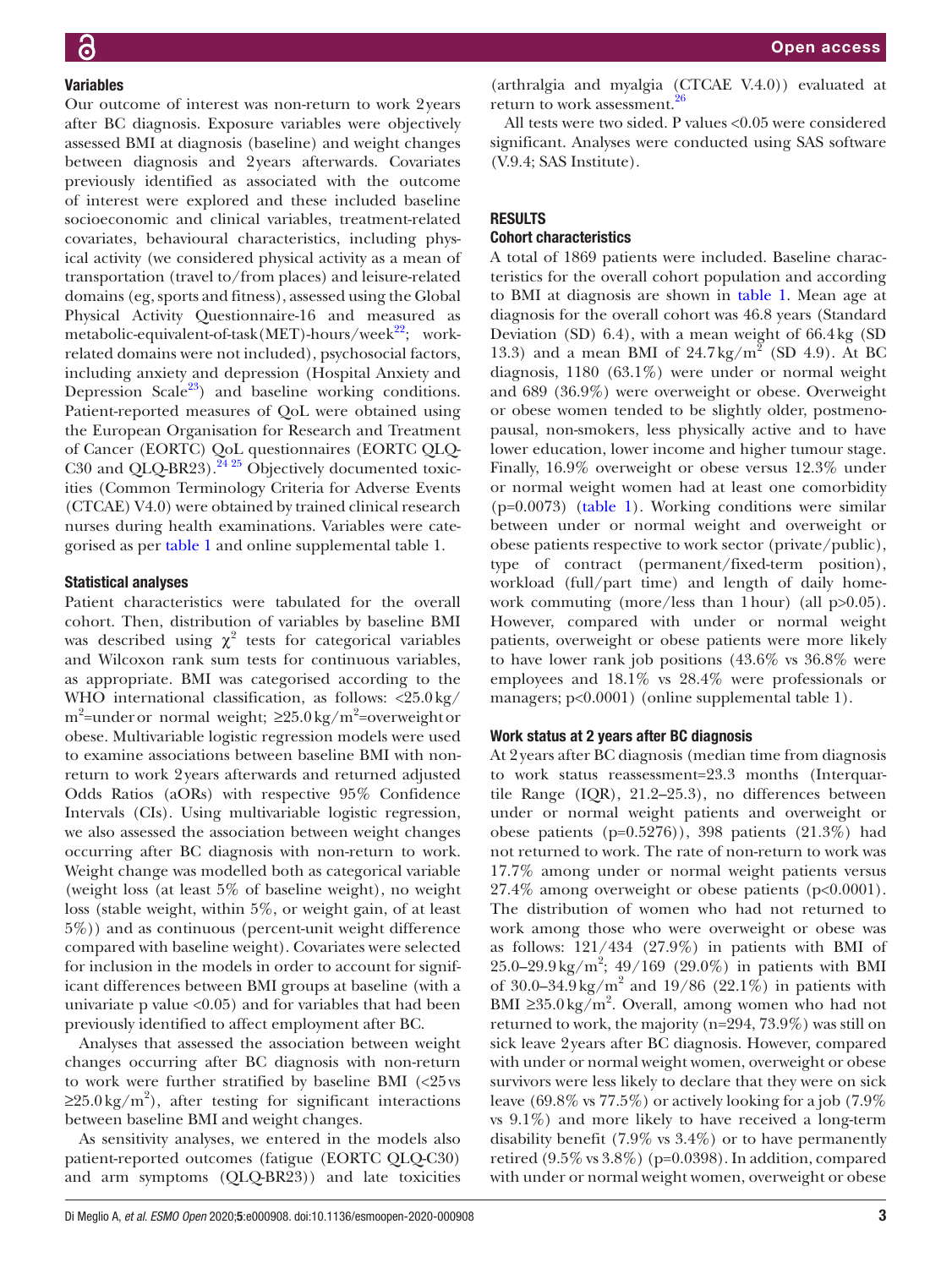## Variables

Our outcome of interest was non-return to work 2years after BC diagnosis. Exposure variables were objectively assessed BMI at diagnosis (baseline) and weight changes between diagnosis and 2years afterwards. Covariates previously identified as associated with the outcome of interest were explored and these included baseline socioeconomic and clinical variables, treatment-related covariates, behavioural characteristics, including physical activity (we considered physical activity as a mean of transportation (travel to/from places) and leisure-related domains (eg, sports and fitness), assessed using the Global Physical Activity Questionnaire-16 and measured as metabolic-equivalent-of-task(MET)-hours/week $^{22}$ ; workrelated domains were not included), psychosocial factors, including anxiety and depression (Hospital Anxiety and Depression Scale<sup>[23](#page-10-1)</sup>) and baseline working conditions. Patient-reported measures of QoL were obtained using the European Organisation for Research and Treatment of Cancer (EORTC) QoL questionnaires (EORTC QLQ-C30 and QLQ-BR23).<sup>24 25</sup> Objectively documented toxicities (Common Terminology Criteria for Adverse Events (CTCAE) V4.0) were obtained by trained clinical research nurses during health examinations. Variables were categorised as per [table](#page-3-0) 1 and [online supplemental table 1](https://dx.doi.org/10.1136/esmoopen-2020-000908).

## Statistical analyses

Patient characteristics were tabulated for the overall cohort. Then, distribution of variables by baseline BMI was described using  $\chi^2$  tests for categorical variables and Wilcoxon rank sum tests for continuous variables, as appropriate. BMI was categorised according to the WHO international classification, as follows: <25.0kg/ m<sup>2</sup>=under or normal weight;  $\geq 25.0 \text{ kg/m}^2$ =overweight or obese. Multivariable logistic regression models were used to examine associations between baseline BMI with nonreturn to work 2years afterwards and returned adjusted Odds Ratios (aORs) with respective 95% Confidence Intervals (CIs). Using multivariable logistic regression, we also assessed the association between weight changes occurring after BC diagnosis with non-return to work. Weight change was modelled both as categorical variable (weight loss (at least 5% of baseline weight), no weight loss (stable weight, within 5%, or weight gain, of at least 5%)) and as continuous (percent-unit weight difference compared with baseline weight). Covariates were selected for inclusion in the models in order to account for significant differences between BMI groups at baseline (with a univariate p value  $\langle 0.05 \rangle$  and for variables that had been previously identified to affect employment after BC.

Analyses that assessed the association between weight changes occurring after BC diagnosis with non-return to work were further stratified by baseline BMI (<25vs  $\geq$ 25.0 kg/m<sup>2</sup>), after testing for significant interactions between baseline BMI and weight changes.

As sensitivity analyses, we entered in the models also patient-reported outcomes (fatigue (EORTC QLQ-C30) and arm symptoms (QLQ-BR23)) and late toxicities

(arthralgia and myalgia (CTCAE V.4.0)) evaluated at return to work assessment.<sup>26</sup>

All tests were two sided. P values <0.05 were considered significant. Analyses were conducted using SAS software (V.9.4; SAS Institute).

# RESULTS

## Cohort characteristics

A total of 1869 patients were included. Baseline characteristics for the overall cohort population and according to BMI at diagnosis are shown in [table](#page-3-0) 1. Mean age at diagnosis for the overall cohort was 46.8 years (Standard Deviation (SD) 6.4), with a mean weight of 66.4kg (SD 13.3) and a mean BMI of  $24.7 \text{ kg/m}^2$  (SD 4.9). At BC diagnosis, 1180 (63.1%) were under or normal weight and 689 (36.9%) were overweight or obese. Overweight or obese women tended to be slightly older, postmenopausal, non-smokers, less physically active and to have lower education, lower income and higher tumour stage. Finally, 16.9% overweight or obese versus 12.3% under or normal weight women had at least one comorbidity  $(p=0.0073)$  [\(table](#page-3-0) 1). Working conditions were similar between under or normal weight and overweight or obese patients respective to work sector (private/public), type of contract (permanent/fixed-term position), workload (full/part time) and length of daily homework commuting (more/less than 1 hour) (all  $p>0.05$ ). However, compared with under or normal weight patients, overweight or obese patients were more likely to have lower rank job positions (43.6% vs 36.8% were employees and 18.1% vs 28.4% were professionals or managers; p<0.0001) [\(online supplemental table 1\)](https://dx.doi.org/10.1136/esmoopen-2020-000908).

## Work status at 2 years after BC diagnosis

At 2years after BC diagnosis (median time from diagnosis to work status reassessment=23.3 months (Interquartile Range (IQR), 21.2–25.3), no differences between under or normal weight patients and overweight or obese patients  $(p=0.5276)$ , 398 patients  $(21.3\%)$  had not returned to work. The rate of non-return to work was 17.7% among under or normal weight patients versus 27.4% among overweight or obese patients (p<0.0001). The distribution of women who had not returned to work among those who were overweight or obese was as follows: 121/434 (27.9%) in patients with BMI of 25.0–29.9 kg/m<sup>2</sup>; 49/169 (29.0%) in patients with BMI of 30.0–34.9 kg/m<sup>2</sup> and 19/86 (22.1%) in patients with BMI ≥35.0 kg/m<sup>2</sup>. Overall, among women who had not returned to work, the majority (n=294, 73.9%) was still on sick leave 2years after BC diagnosis. However, compared with under or normal weight women, overweight or obese survivors were less likely to declare that they were on sick leave (69.8% vs 77.5%) or actively looking for a job (7.9% vs 9.1%) and more likely to have received a long-term disability benefit (7.9% vs 3.4%) or to have permanently retired (9.5% vs 3.8%) (p=0.0398). In addition, compared with under or normal weight women, overweight or obese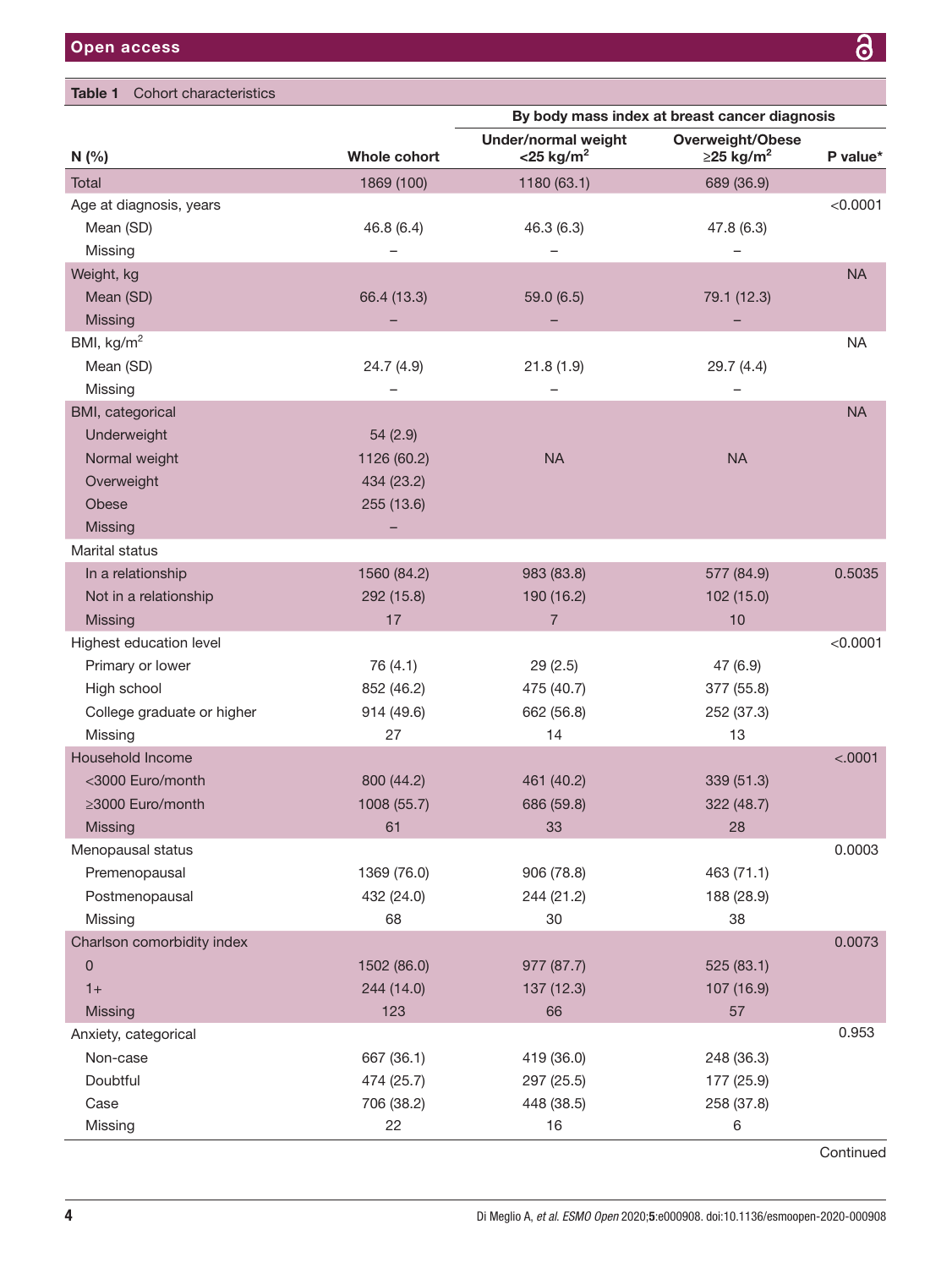<span id="page-3-0"></span>

| Cohort characteristics<br>Table 1 |              |                                                        |                                           |           |
|-----------------------------------|--------------|--------------------------------------------------------|-------------------------------------------|-----------|
|                                   |              | By body mass index at breast cancer diagnosis          |                                           |           |
| N(%)                              | Whole cohort | <b>Under/normal weight</b><br>$<$ 25 kg/m <sup>2</sup> | Overweight/Obese<br>≥25 kg/m <sup>2</sup> | P value*  |
| Total                             | 1869 (100)   | 1180 (63.1)                                            | 689 (36.9)                                |           |
| Age at diagnosis, years           |              |                                                        |                                           | < 0.0001  |
| Mean (SD)                         | 46.8 (6.4)   | 46.3(6.3)                                              | 47.8 (6.3)                                |           |
| Missing                           |              |                                                        |                                           |           |
| Weight, kg                        |              |                                                        |                                           | <b>NA</b> |
| Mean (SD)                         | 66.4 (13.3)  | 59.0(6.5)                                              | 79.1 (12.3)                               |           |
| Missing                           |              |                                                        |                                           |           |
| BMI, $kg/m2$                      |              |                                                        |                                           | <b>NA</b> |
| Mean (SD)                         | 24.7 (4.9)   | 21.8(1.9)                                              | 29.7 (4.4)                                |           |
| Missing                           |              |                                                        |                                           |           |
| BMI, categorical                  |              |                                                        |                                           | <b>NA</b> |
| Underweight                       | 54(2.9)      |                                                        |                                           |           |
| Normal weight                     | 1126 (60.2)  | <b>NA</b>                                              | <b>NA</b>                                 |           |
| Overweight                        | 434 (23.2)   |                                                        |                                           |           |
| Obese                             | 255 (13.6)   |                                                        |                                           |           |
| Missing                           |              |                                                        |                                           |           |
| Marital status                    |              |                                                        |                                           |           |
| In a relationship                 | 1560 (84.2)  | 983 (83.8)                                             | 577 (84.9)                                | 0.5035    |
| Not in a relationship             | 292 (15.8)   | 190 (16.2)                                             | 102 (15.0)                                |           |
| Missing                           | 17           | $\overline{7}$                                         | 10                                        |           |
| Highest education level           |              |                                                        |                                           | < 0.0001  |
| Primary or lower                  | 76 (4.1)     | 29(2.5)                                                | 47 (6.9)                                  |           |
| High school                       | 852 (46.2)   | 475 (40.7)                                             | 377 (55.8)                                |           |
| College graduate or higher        | 914 (49.6)   | 662 (56.8)                                             | 252 (37.3)                                |           |
| Missing                           | 27           | 14                                                     | 13                                        |           |
| Household Income                  |              |                                                        |                                           | < .0001   |
| <3000 Euro/month                  | 800 (44.2)   | 461 (40.2)                                             | 339(51.3)                                 |           |
| ≥3000 Euro/month                  | 1008 (55.7)  | 686 (59.8)                                             | 322 (48.7)                                |           |
| Missing                           | 61           | 33                                                     | 28                                        |           |
| Menopausal status                 |              |                                                        |                                           | 0.0003    |
| Premenopausal                     | 1369 (76.0)  | 906 (78.8)                                             | 463 (71.1)                                |           |
| Postmenopausal                    | 432 (24.0)   | 244 (21.2)                                             | 188 (28.9)                                |           |
| Missing                           | 68           | 30                                                     | 38                                        |           |
| Charlson comorbidity index        |              |                                                        |                                           | 0.0073    |
| 0                                 | 1502 (86.0)  | 977 (87.7)                                             | 525 (83.1)                                |           |
| $1+$                              | 244 (14.0)   | 137 (12.3)                                             | 107 (16.9)                                |           |
| Missing                           | 123          | 66                                                     | 57                                        |           |
| Anxiety, categorical              |              |                                                        |                                           | 0.953     |
| Non-case                          | 667 (36.1)   | 419 (36.0)                                             | 248 (36.3)                                |           |
| Doubtful                          | 474 (25.7)   | 297 (25.5)                                             | 177 (25.9)                                |           |
| Case                              | 706 (38.2)   | 448 (38.5)                                             | 258 (37.8)                                |           |
| Missing                           | 22           | 16                                                     | 6                                         |           |
|                                   |              |                                                        |                                           | Continued |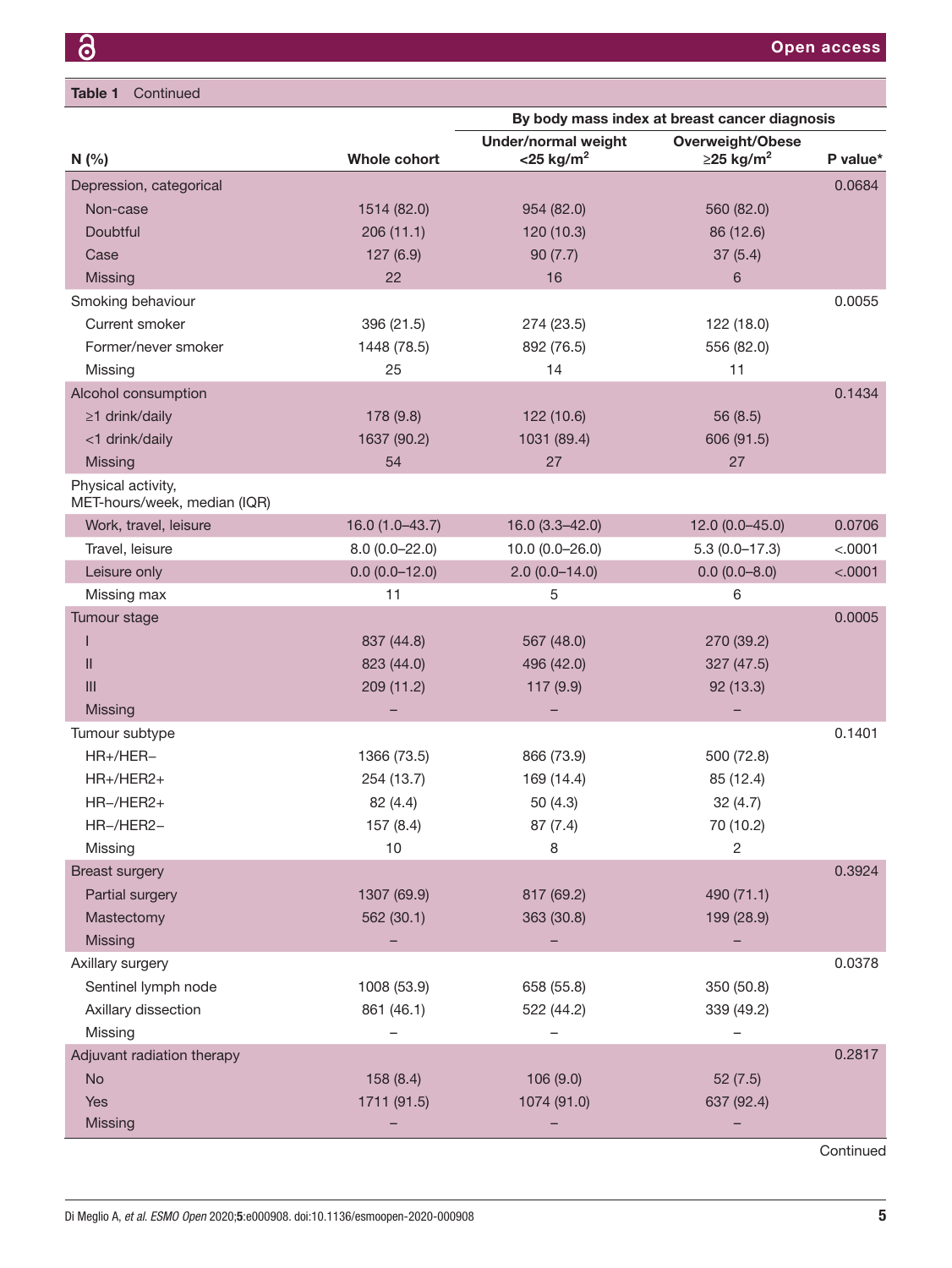Table 1 Continued

| <b>Under/normal weight</b><br>Overweight/Obese<br>$<$ 25 kg/m <sup>2</sup><br>≥25 kg/m <sup>2</sup><br>N(%<br>Whole cohort<br>P value*<br>0.0684<br>Depression, categorical<br>1514 (82.0)<br>560 (82.0)<br>Non-case<br>954 (82.0)<br>Doubtful<br>206(11.1)<br>86 (12.6)<br>120 (10.3)<br>127 (6.9)<br>90(7.7)<br>37(5.4)<br>Case<br>22<br>16<br>6<br>Missing<br>Smoking behaviour<br>0.0055<br>Current smoker<br>396 (21.5)<br>274 (23.5)<br>122 (18.0)<br>Former/never smoker<br>1448 (78.5)<br>892 (76.5)<br>556 (82.0)<br>25<br>Missing<br>14<br>11<br>Alcohol consumption<br>0.1434<br>≥1 drink/daily<br>178 (9.8)<br>122 (10.6)<br>56 (8.5)<br><1 drink/daily<br>1637 (90.2)<br>1031 (89.4)<br>606 (91.5)<br>Missing<br>54<br>27<br>27<br>Physical activity, |
|--------------------------------------------------------------------------------------------------------------------------------------------------------------------------------------------------------------------------------------------------------------------------------------------------------------------------------------------------------------------------------------------------------------------------------------------------------------------------------------------------------------------------------------------------------------------------------------------------------------------------------------------------------------------------------------------------------------------------------------------------------------------|
|                                                                                                                                                                                                                                                                                                                                                                                                                                                                                                                                                                                                                                                                                                                                                                    |
|                                                                                                                                                                                                                                                                                                                                                                                                                                                                                                                                                                                                                                                                                                                                                                    |
|                                                                                                                                                                                                                                                                                                                                                                                                                                                                                                                                                                                                                                                                                                                                                                    |
|                                                                                                                                                                                                                                                                                                                                                                                                                                                                                                                                                                                                                                                                                                                                                                    |
|                                                                                                                                                                                                                                                                                                                                                                                                                                                                                                                                                                                                                                                                                                                                                                    |
|                                                                                                                                                                                                                                                                                                                                                                                                                                                                                                                                                                                                                                                                                                                                                                    |
|                                                                                                                                                                                                                                                                                                                                                                                                                                                                                                                                                                                                                                                                                                                                                                    |
|                                                                                                                                                                                                                                                                                                                                                                                                                                                                                                                                                                                                                                                                                                                                                                    |
|                                                                                                                                                                                                                                                                                                                                                                                                                                                                                                                                                                                                                                                                                                                                                                    |
|                                                                                                                                                                                                                                                                                                                                                                                                                                                                                                                                                                                                                                                                                                                                                                    |
|                                                                                                                                                                                                                                                                                                                                                                                                                                                                                                                                                                                                                                                                                                                                                                    |
|                                                                                                                                                                                                                                                                                                                                                                                                                                                                                                                                                                                                                                                                                                                                                                    |
|                                                                                                                                                                                                                                                                                                                                                                                                                                                                                                                                                                                                                                                                                                                                                                    |
|                                                                                                                                                                                                                                                                                                                                                                                                                                                                                                                                                                                                                                                                                                                                                                    |
|                                                                                                                                                                                                                                                                                                                                                                                                                                                                                                                                                                                                                                                                                                                                                                    |
| MET-hours/week, median (IQR)                                                                                                                                                                                                                                                                                                                                                                                                                                                                                                                                                                                                                                                                                                                                       |
| Work, travel, leisure<br>16.0 (1.0-43.7)<br>$16.0(3.3 - 42.0)$<br>12.0 (0.0-45.0)<br>0.0706                                                                                                                                                                                                                                                                                                                                                                                                                                                                                                                                                                                                                                                                        |
| Travel, leisure<br>$8.0(0.0-22.0)$<br>$10.0(0.0 - 26.0)$<br>< .0001<br>$5.3(0.0-17.3)$                                                                                                                                                                                                                                                                                                                                                                                                                                                                                                                                                                                                                                                                             |
| $0.0(0.0-12.0)$<br>$2.0(0.0-14.0)$<br>$0.0 (0.0 - 8.0)$<br>Leisure only<br>< .0001                                                                                                                                                                                                                                                                                                                                                                                                                                                                                                                                                                                                                                                                                 |
| Missing max<br>11<br>5<br>6                                                                                                                                                                                                                                                                                                                                                                                                                                                                                                                                                                                                                                                                                                                                        |
| 0.0005<br>Tumour stage                                                                                                                                                                                                                                                                                                                                                                                                                                                                                                                                                                                                                                                                                                                                             |
| 837 (44.8)<br>567 (48.0)<br>270 (39.2)<br>ı                                                                                                                                                                                                                                                                                                                                                                                                                                                                                                                                                                                                                                                                                                                        |
| 823 (44.0)<br>496 (42.0)<br>Ш<br>327 (47.5)                                                                                                                                                                                                                                                                                                                                                                                                                                                                                                                                                                                                                                                                                                                        |
| III<br>209 (11.2)<br>117 (9.9)<br>92 (13.3)                                                                                                                                                                                                                                                                                                                                                                                                                                                                                                                                                                                                                                                                                                                        |
| Missing                                                                                                                                                                                                                                                                                                                                                                                                                                                                                                                                                                                                                                                                                                                                                            |
| 0.1401<br>Tumour subtype                                                                                                                                                                                                                                                                                                                                                                                                                                                                                                                                                                                                                                                                                                                                           |
| $HR+/HER-$<br>1366 (73.5)<br>866 (73.9)<br>500 (72.8)                                                                                                                                                                                                                                                                                                                                                                                                                                                                                                                                                                                                                                                                                                              |
| HR+/HER2+<br>254 (13.7)<br>85 (12.4)<br>169 (14.4)                                                                                                                                                                                                                                                                                                                                                                                                                                                                                                                                                                                                                                                                                                                 |
| HR-/HER2+<br>82 (4.4)<br>50 (4.3)<br>32(4.7)                                                                                                                                                                                                                                                                                                                                                                                                                                                                                                                                                                                                                                                                                                                       |
| HR-/HER2-<br>157 (8.4)<br>70 (10.2)<br>87 (7.4)                                                                                                                                                                                                                                                                                                                                                                                                                                                                                                                                                                                                                                                                                                                    |
| Missing<br>10<br>8<br>2                                                                                                                                                                                                                                                                                                                                                                                                                                                                                                                                                                                                                                                                                                                                            |
| 0.3924<br><b>Breast surgery</b>                                                                                                                                                                                                                                                                                                                                                                                                                                                                                                                                                                                                                                                                                                                                    |
| 1307 (69.9)<br>817 (69.2)<br>490 (71.1)<br>Partial surgery                                                                                                                                                                                                                                                                                                                                                                                                                                                                                                                                                                                                                                                                                                         |
| 562 (30.1)<br>363 (30.8)<br>199 (28.9)<br>Mastectomy                                                                                                                                                                                                                                                                                                                                                                                                                                                                                                                                                                                                                                                                                                               |
| Missing                                                                                                                                                                                                                                                                                                                                                                                                                                                                                                                                                                                                                                                                                                                                                            |
| 0.0378<br>Axillary surgery                                                                                                                                                                                                                                                                                                                                                                                                                                                                                                                                                                                                                                                                                                                                         |
| Sentinel lymph node<br>1008 (53.9)<br>658 (55.8)<br>350 (50.8)                                                                                                                                                                                                                                                                                                                                                                                                                                                                                                                                                                                                                                                                                                     |
| Axillary dissection<br>861 (46.1)<br>522 (44.2)<br>339 (49.2)                                                                                                                                                                                                                                                                                                                                                                                                                                                                                                                                                                                                                                                                                                      |
| Missing                                                                                                                                                                                                                                                                                                                                                                                                                                                                                                                                                                                                                                                                                                                                                            |
| 0.2817<br>Adjuvant radiation therapy                                                                                                                                                                                                                                                                                                                                                                                                                                                                                                                                                                                                                                                                                                                               |
| <b>No</b><br>158 (8.4)<br>106(9.0)<br>52(7.5)                                                                                                                                                                                                                                                                                                                                                                                                                                                                                                                                                                                                                                                                                                                      |
| Yes<br>1711 (91.5)<br>1074 (91.0)<br>637 (92.4)                                                                                                                                                                                                                                                                                                                                                                                                                                                                                                                                                                                                                                                                                                                    |
| Missing                                                                                                                                                                                                                                                                                                                                                                                                                                                                                                                                                                                                                                                                                                                                                            |
| Continued                                                                                                                                                                                                                                                                                                                                                                                                                                                                                                                                                                                                                                                                                                                                                          |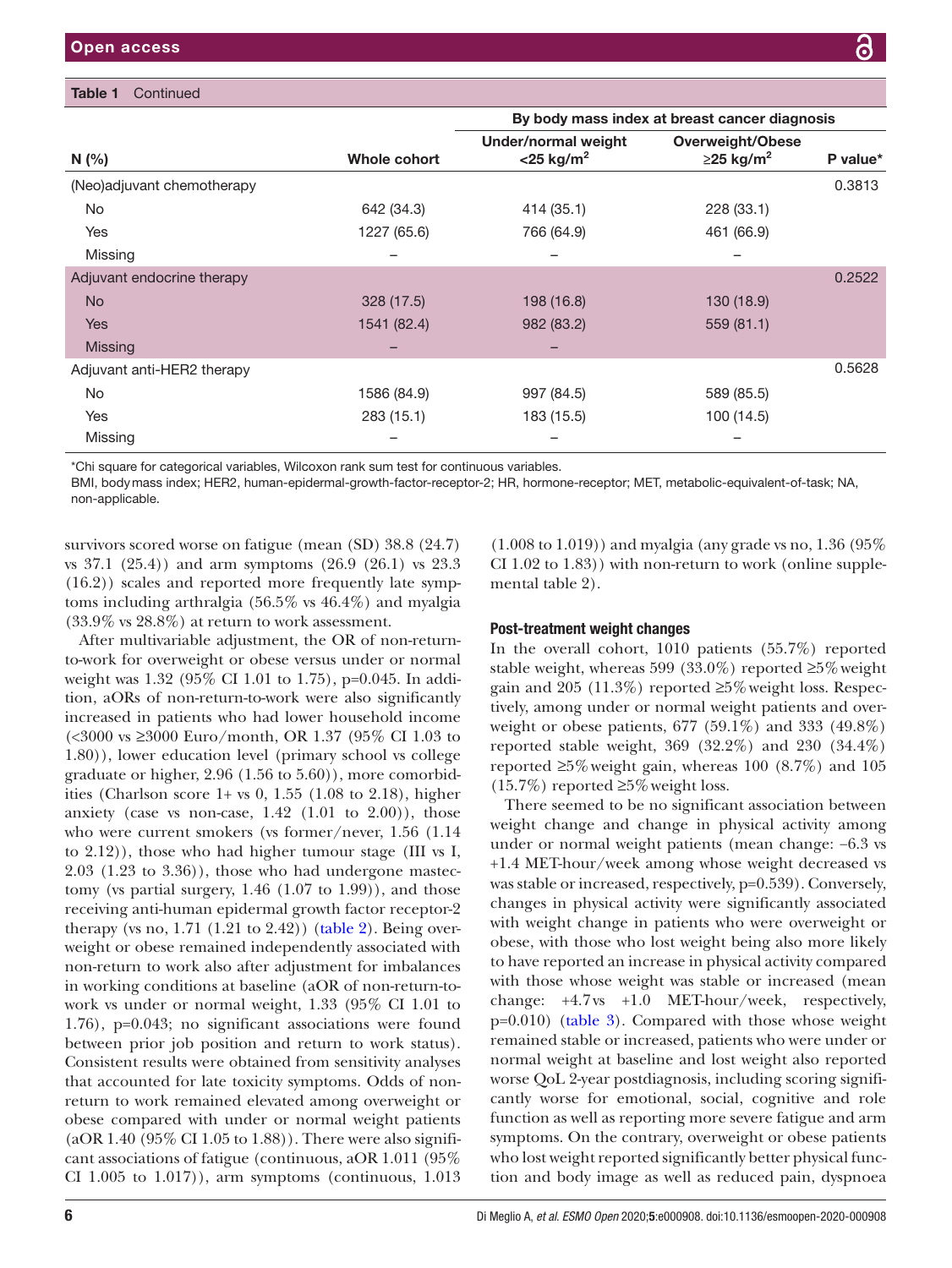## Table 1 Continued

|                            |              | By body mass index at breast cancer diagnosis          |                                                  |          |
|----------------------------|--------------|--------------------------------------------------------|--------------------------------------------------|----------|
| N(%                        | Whole cohort | <b>Under/normal weight</b><br>$<$ 25 kg/m <sup>2</sup> | <b>Overweight/Obese</b><br>≥25 kg/m <sup>2</sup> | P value* |
| (Neo)adjuvant chemotherapy |              |                                                        |                                                  | 0.3813   |
| <b>No</b>                  | 642 (34.3)   | 414 (35.1)                                             | 228 (33.1)                                       |          |
| Yes                        | 1227 (65.6)  | 766 (64.9)                                             | 461 (66.9)                                       |          |
| Missing                    |              |                                                        |                                                  |          |
| Adjuvant endocrine therapy |              |                                                        |                                                  | 0.2522   |
| <b>No</b>                  | 328(17.5)    | 198 (16.8)                                             | 130 (18.9)                                       |          |
| <b>Yes</b>                 | 1541 (82.4)  | 982 (83.2)                                             | 559(81.1)                                        |          |
| <b>Missing</b>             |              |                                                        |                                                  |          |
| Adjuvant anti-HER2 therapy |              |                                                        |                                                  | 0.5628   |
| No                         | 1586 (84.9)  | 997 (84.5)                                             | 589 (85.5)                                       |          |
| Yes                        | 283(15.1)    | 183 (15.5)                                             | 100 (14.5)                                       |          |
| Missing                    |              |                                                        |                                                  |          |

\*Chi square for categorical variables, Wilcoxon rank sum test for continuous variables.

BMI, bodymass index; HER2, human-epidermal-growth-factor-receptor-2; HR, hormone-receptor; MET, metabolic-equivalent-of-task; NA, non-applicable.

survivors scored worse on fatigue (mean (SD) 38.8 (24.7) vs 37.1 (25.4)) and arm symptoms (26.9 (26.1) vs 23.3 (16.2)) scales and reported more frequently late symptoms including arthralgia (56.5% vs 46.4%) and myalgia  $(33.9\% \text{ vs } 28.8\%)$  at return to work assessment.

After multivariable adjustment, the OR of non-returnto-work for overweight or obese versus under or normal weight was 1.32 (95% CI 1.01 to 1.75), p=0.045. In addition, aORs of non-return-to-work were also significantly increased in patients who had lower household income (<3000 vs ≥3000 Euro/month, OR 1.37 (95% CI 1.03 to 1.80)), lower education level (primary school vs college graduate or higher, 2.96 (1.56 to 5.60)), more comorbidities (Charlson score  $1+$  vs 0, 1.55 (1.08 to 2.18), higher anxiety (case vs non-case,  $1.42$   $(1.01$  to  $2.00)$ ), those who were current smokers (vs former/never, 1.56 (1.14 to 2.12)), those who had higher tumour stage (III vs I, 2.03 (1.23 to 3.36)), those who had undergone mastectomy (vs partial surgery,  $1.46$   $(1.07 \text{ to } 1.99)$ ), and those receiving anti-human epidermal growth factor receptor-2 therapy (vs no,  $1.71$  (1.21 to 2.42)) [\(table](#page-6-0) 2). Being overweight or obese remained independently associated with non-return to work also after adjustment for imbalances in working conditions at baseline (aOR of non-return-towork vs under or normal weight, 1.33 (95% CI 1.01 to 1.76), p=0.043; no significant associations were found between prior job position and return to work status). Consistent results were obtained from sensitivity analyses that accounted for late toxicity symptoms. Odds of nonreturn to work remained elevated among overweight or obese compared with under or normal weight patients (aOR 1.40 (95% CI 1.05 to 1.88)). There were also significant associations of fatigue (continuous, aOR 1.011 (95% CI 1.005 to 1.017)), arm symptoms (continuous, 1.013

(1.008 to 1.019)) and myalgia (any grade vs no, 1.36 (95% CI 1.02 to 1.83)) with non-return to work ([online supple](https://dx.doi.org/10.1136/esmoopen-2020-000908)[mental table 2](https://dx.doi.org/10.1136/esmoopen-2020-000908)).

## Post-treatment weight changes

In the overall cohort, 1010 patients (55.7%) reported stable weight, whereas 599 (33.0%) reported  $\geq$ 5% weight gain and 205 (11.3%) reported  $\geq$ 5% weight loss. Respectively, among under or normal weight patients and overweight or obese patients, 677 (59.1%) and 333 (49.8%) reported stable weight, 369 (32.2%) and 230 (34.4%) reported  $\geq 5\%$  weight gain, whereas 100 (8.7%) and 105  $(15.7\%)$  reported ≥5% weight loss.

There seemed to be no significant association between weight change and change in physical activity among under or normal weight patients (mean change: −6.3 vs +1.4 MET-hour/week among whose weight decreased vs was stable or increased, respectively, p=0.539). Conversely, changes in physical activity were significantly associated with weight change in patients who were overweight or obese, with those who lost weight being also more likely to have reported an increase in physical activity compared with those whose weight was stable or increased (mean change: +4.7vs +1.0 MET-hour/week, respectively, p=0.010) [\(table](#page-7-0) 3). Compared with those whose weight remained stable or increased, patients who were under or normal weight at baseline and lost weight also reported worse QoL 2-year postdiagnosis, including scoring significantly worse for emotional, social, cognitive and role function as well as reporting more severe fatigue and arm symptoms. On the contrary, overweight or obese patients who lost weight reported significantly better physical function and body image as well as reduced pain, dyspnoea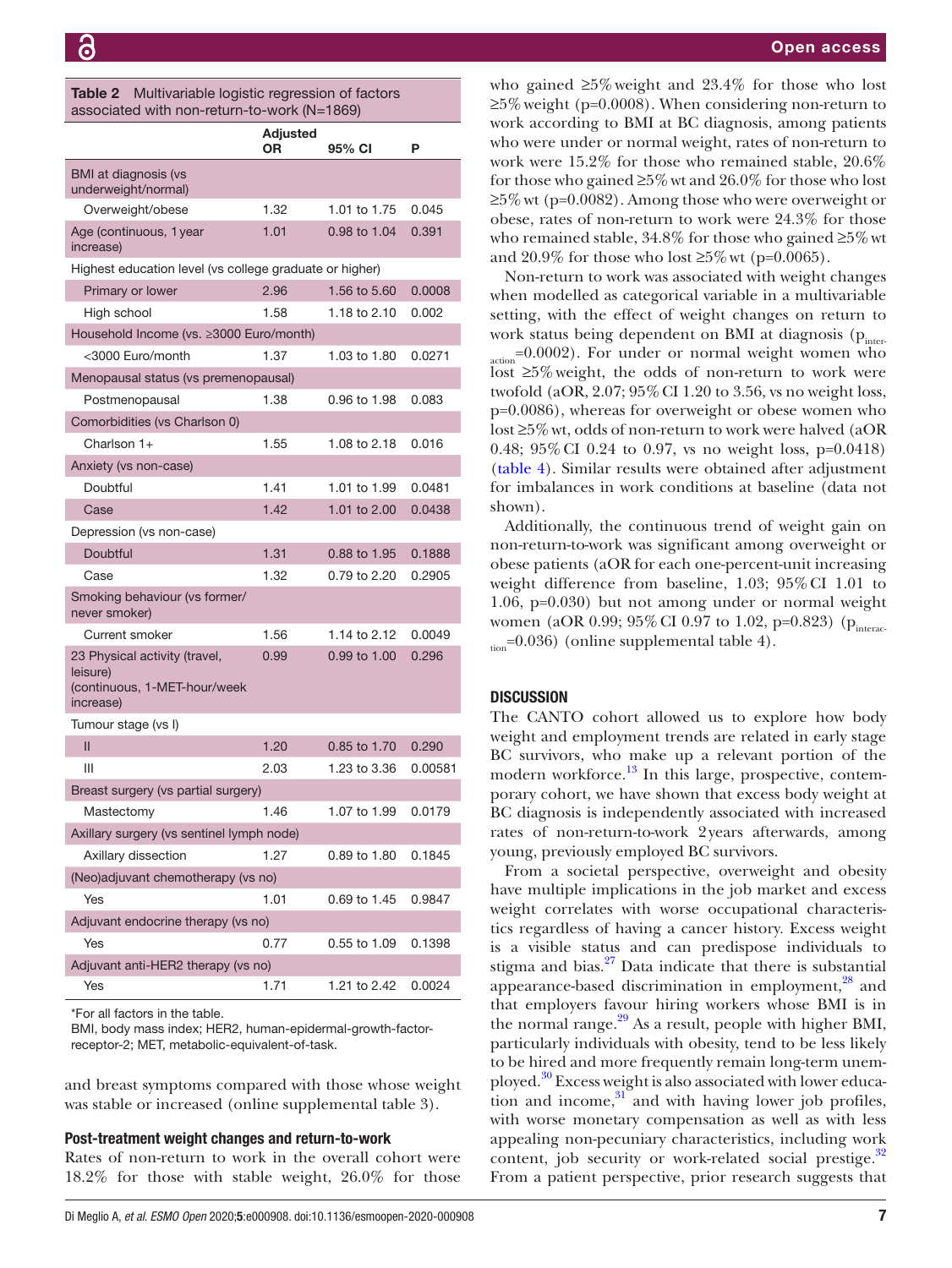<span id="page-6-0"></span>

|                                                                                        | Adjusted<br>OR | 95% CI       | P       |
|----------------------------------------------------------------------------------------|----------------|--------------|---------|
| BMI at diagnosis (vs<br>underweight/normal)                                            |                |              |         |
| Overweight/obese                                                                       | 1.32           | 1.01 to 1.75 | 0.045   |
| Age (continuous, 1 year<br>increase)                                                   | 1.01           | 0.98 to 1.04 | 0.391   |
| Highest education level (vs college graduate or higher)                                |                |              |         |
| Primary or lower                                                                       | 2.96           | 1.56 to 5.60 | 0.0008  |
| High school                                                                            | 1.58           | 1.18 to 2.10 | 0.002   |
| Household Income (vs. ≥3000 Euro/month)                                                |                |              |         |
| <3000 Euro/month                                                                       | 1.37           | 1.03 to 1.80 | 0.0271  |
| Menopausal status (vs premenopausal)                                                   |                |              |         |
| Postmenopausal                                                                         | 1.38           | 0.96 to 1.98 | 0.083   |
| Comorbidities (vs Charlson 0)                                                          |                |              |         |
| Charlson 1+                                                                            | 1.55           | 1.08 to 2.18 | 0.016   |
| Anxiety (vs non-case)                                                                  |                |              |         |
| Doubtful                                                                               | 1.41           | 1.01 to 1.99 | 0.0481  |
| Case                                                                                   | 1.42           | 1.01 to 2.00 | 0.0438  |
| Depression (vs non-case)                                                               |                |              |         |
| <b>Doubtful</b>                                                                        | 1.31           | 0.88 to 1.95 | 0.1888  |
| Case                                                                                   | 1.32           | 0.79 to 2.20 | 0.2905  |
| Smoking behaviour (vs former/<br>never smoker)                                         |                |              |         |
| Current smoker                                                                         | 1.56           | 1.14 to 2.12 | 0.0049  |
| 23 Physical activity (travel,<br>leisure)<br>(continuous, 1-MET-hour/week<br>increase) | 0.99           | 0.99 to 1.00 | 0.296   |
| Tumour stage (vs I)                                                                    |                |              |         |
| Ш                                                                                      | 1.20           | 0.85 to 1.70 | 0.290   |
| Ш                                                                                      | 2.03           | 1.23 to 3.36 | 0.00581 |
| Breast surgery (vs partial surgery)                                                    |                |              |         |
| Mastectomy                                                                             | 1.46           | 1.07 to 1.99 | 0.0179  |
| Axillary surgery (vs sentinel lymph node)                                              |                |              |         |
| Axillary dissection                                                                    | 1.27           | 0.89 to 1.80 | 0.1845  |
| (Neo)adjuvant chemotherapy (vs no)                                                     |                |              |         |
| Yes                                                                                    | 1.01           | 0.69 to 1.45 | 0.9847  |

who gained  $\geq 5\%$  weight and 23.4% for those who lost  $\geq$ 5% weight (p=0.0008). When considering non-return to work according to BMI at BC diagnosis, among patients who were under or normal weight, rates of non-return to work were 15.2% for those who remained stable, 20.6% for those who gained  $\geq 5\%$  wt and  $26.0\%$  for those who lost ≥5%wt (p=0.0082). Among those who were overweight or obese, rates of non-return to work were 24.3% for those who remained stable, 34.8% for those who gained  $\geq 5\%$  wt and 20.9% for those who lost  $\geq$ 5% wt (p=0.0065).

Non-return to work was associated with weight changes when modelled as categorical variable in a multivariable setting, with the effect of weight changes on return to work status being dependent on BMI at diagnosis ( $p_{inter}$  $a_{\text{action}} = 0.0002$ ). For under or normal weight women who lost ≥5%weight, the odds of non-return to work were

twofold (aOR, 2.07; 95%CI 1.20 to 3.56, vs no weight loss, p=0.0086), whereas for overweight or obese women who lost ≥5%wt, odds of non-return to work were halved (aOR 0.48; 95%CI 0.24 to 0.97, vs no weight loss, p=0.0418) [\(table](#page-7-1) 4). Similar results were obtained after adjustment for imbalances in work conditions at baseline (data not shown).

Additionally, the continuous trend of weight gain on non-return-to-work was significant among overweight or obese patients (aOR for each one-percent-unit increasing weight difference from baseline, 1.03; 95%CI 1.01 to 1.06, p=0.030) but not among under or normal weight women (aOR 0.99; 95% CI 0.97 to 1.02, p=0.823) ( $p_{interac}$  $t_{\text{ion}}$ =0.036) [\(online supplemental table 4\)](https://dx.doi.org/10.1136/esmoopen-2020-000908).

## **DISCUSSION**

The CANTO cohort allowed us to explore how body weight and employment trends are related in early stage BC survivors, who make up a relevant portion of the modern workforce.<sup>13</sup> In this large, prospective, contemporary cohort, we have shown that excess body weight at BC diagnosis is independently associated with increased rates of non-return-to-work 2years afterwards, among young, previously employed BC survivors.

From a societal perspective, overweight and obesity have multiple implications in the job market and excess weight correlates with worse occupational characteristics regardless of having a cancer history. Excess weight is a visible status and can predispose individuals to stigma and bias. $27$  Data indicate that there is substantial appearance-based discrimination in employment,<sup>28</sup> and that employers favour hiring workers whose BMI is in the normal range.<sup>29</sup> As a result, people with higher BMI, particularly individuals with obesity, tend to be less likely to be hired and more frequently remain long-term unemployed.<sup>30</sup> Excess weight is also associated with lower education and income, $31$  and with having lower job profiles, with worse monetary compensation as well as with less appealing non-pecuniary characteristics, including work content, job security or work-related social prestige.<sup>[32](#page-10-9)</sup> From a patient perspective, prior research suggests that

\*For all factors in the table.

Adjuvant endocrine therapy (vs no)

Adjuvant anti-HER2 therapy (vs no)

BMI, body mass index; HER2, human-epidermal-growth-factorreceptor-2; MET, metabolic-equivalent-of-task.

and breast symptoms compared with those whose weight was stable or increased [\(online supplemental table 3](https://dx.doi.org/10.1136/esmoopen-2020-000908)).

Yes 0.77 0.55 to 1.09 0.1398

Yes 2.42 0.0024

## Post-treatment weight changes and return-to-work

Rates of non-return to work in the overall cohort were 18.2% for those with stable weight, 26.0% for those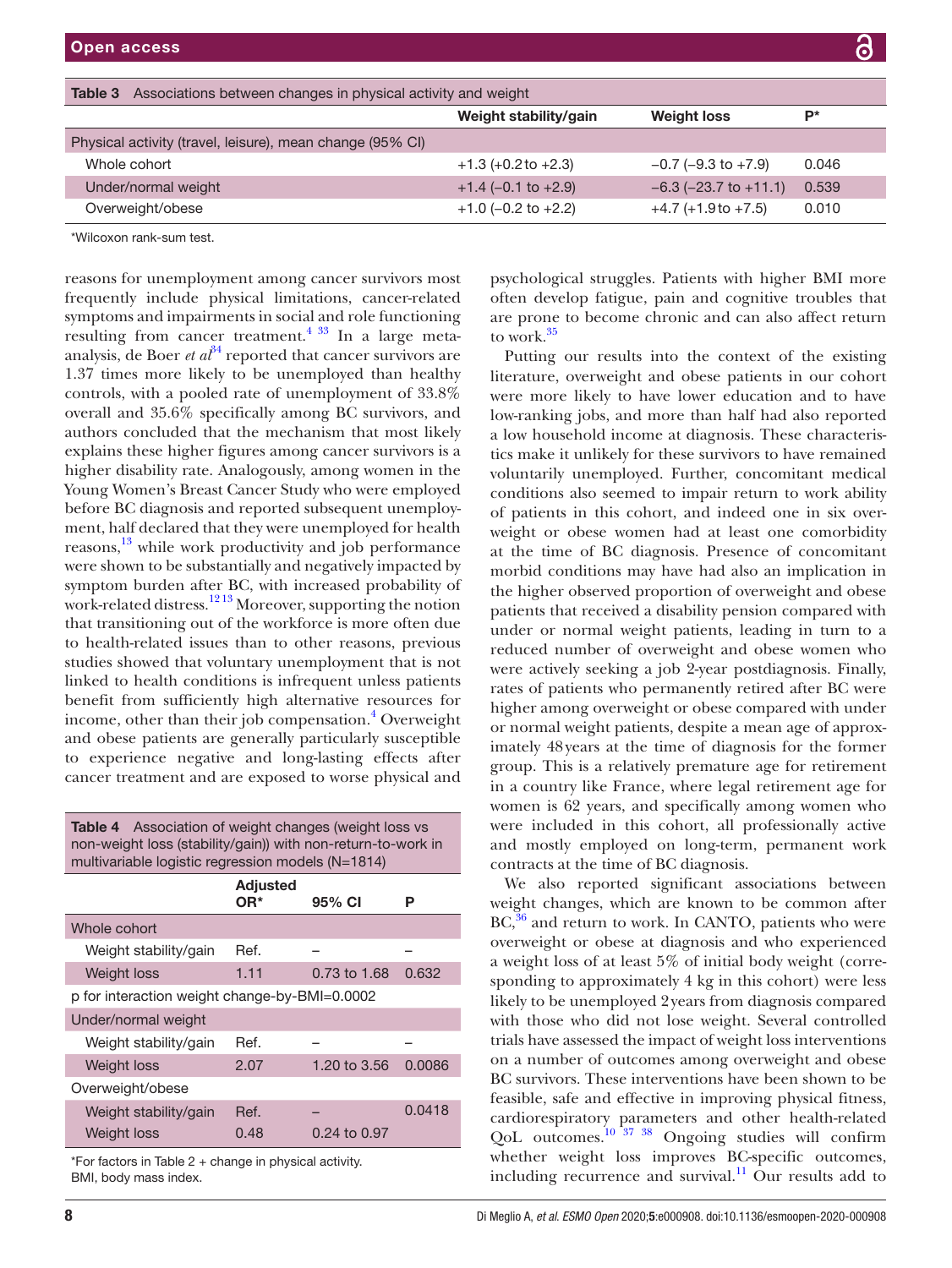<span id="page-7-0"></span>

| Associations between changes in physical activity and weight<br>Table 3 |                          |                               |       |
|-------------------------------------------------------------------------|--------------------------|-------------------------------|-------|
|                                                                         | Weight stability/gain    | <b>Weight loss</b>            | P*    |
| Physical activity (travel, leisure), mean change (95% CI)               |                          |                               |       |
| Whole cohort                                                            | $+1.3 (+0.2 to +2.3)$    | $-0.7$ ( $-9.3$ to $+7.9$ )   | 0.046 |
| Under/normal weight                                                     | $+1.4$ (-0.1 to $+2.9$ ) | $-6.3$ ( $-23.7$ to $+11.1$ ) | 0.539 |
| Overweight/obese                                                        | $+1.0$ (-0.2 to $+2.2$ ) | $+4.7 (+1.9 to +7.5)$         | 0.010 |
|                                                                         |                          |                               |       |

\*Wilcoxon rank-sum test.

reasons for unemployment among cancer survivors most frequently include physical limitations, cancer-related symptoms and impairments in social and role functioning resulting from cancer treatment.[4 33](#page-9-2) In a large metaanalysis, de Boer *et al*<sup>34</sup> reported that cancer survivors are 1.37 times more likely to be unemployed than healthy controls, with a pooled rate of unemployment of 33.8% overall and 35.6% specifically among BC survivors, and authors concluded that the mechanism that most likely explains these higher figures among cancer survivors is a higher disability rate. Analogously, among women in the Young Women's Breast Cancer Study who were employed before BC diagnosis and reported subsequent unemployment, half declared that they were unemployed for health reasons,<sup>13</sup> while work productivity and job performance were shown to be substantially and negatively impacted by symptom burden after BC, with increased probability of work-related distress.[12 13](#page-9-7) Moreover, supporting the notion that transitioning out of the workforce is more often due to health-related issues than to other reasons, previous studies showed that voluntary unemployment that is not linked to health conditions is infrequent unless patients benefit from sufficiently high alternative resources for income, other than their job compensation.<sup>4</sup> Overweight and obese patients are generally particularly susceptible to experience negative and long-lasting effects after cancer treatment and are exposed to worse physical and

<span id="page-7-1"></span>Table 4 Association of weight changes (weight loss vs non-weight loss (stability/gain)) with non-return-to-work in multivariable logistic regression models (N=1814)

|                                               | <b>Adjusted</b><br>OR* | 95% CI       | Р      |
|-----------------------------------------------|------------------------|--------------|--------|
| Whole cohort                                  |                        |              |        |
| Weight stability/gain                         | Ref.                   |              |        |
| <b>Weight loss</b>                            | 1.11                   | 0.73 to 1.68 | 0.632  |
| p for interaction weight change-by-BMI=0.0002 |                        |              |        |
| Under/normal weight                           |                        |              |        |
| Weight stability/gain                         | Ref.                   |              |        |
| <b>Weight loss</b>                            | 2.07                   | 1.20 to 3.56 | 0.0086 |
| Overweight/obese                              |                        |              |        |
| Weight stability/gain                         | Ref.                   |              | 0.0418 |
| <b>Weight loss</b>                            | 0.48                   | 0.24 to 0.97 |        |
|                                               |                        |              |        |

\*For factors in Table 2 + change in physical activity. BMI, body mass index.

psychological struggles. Patients with higher BMI more often develop fatigue, pain and cognitive troubles that are prone to become chronic and can also affect return to work.<sup>35</sup>

Putting our results into the context of the existing literature, overweight and obese patients in our cohort were more likely to have lower education and to have low-ranking jobs, and more than half had also reported a low household income at diagnosis. These characteristics make it unlikely for these survivors to have remained voluntarily unemployed. Further, concomitant medical conditions also seemed to impair return to work ability of patients in this cohort, and indeed one in six overweight or obese women had at least one comorbidity at the time of BC diagnosis. Presence of concomitant morbid conditions may have had also an implication in the higher observed proportion of overweight and obese patients that received a disability pension compared with under or normal weight patients, leading in turn to a reduced number of overweight and obese women who were actively seeking a job 2-year postdiagnosis. Finally, rates of patients who permanently retired after BC were higher among overweight or obese compared with under or normal weight patients, despite a mean age of approximately 48years at the time of diagnosis for the former group. This is a relatively premature age for retirement in a country like France, where legal retirement age for women is 62 years, and specifically among women who were included in this cohort, all professionally active and mostly employed on long-term, permanent work contracts at the time of BC diagnosis.

We also reported significant associations between weight changes, which are known to be common after  $BC<sub>0</sub><sup>36</sup>$  and return to work. In CANTO, patients who were overweight or obese at diagnosis and who experienced a weight loss of at least 5% of initial body weight (corresponding to approximately 4 kg in this cohort) were less likely to be unemployed 2years from diagnosis compared with those who did not lose weight. Several controlled trials have assessed the impact of weight loss interventions on a number of outcomes among overweight and obese BC survivors. These interventions have been shown to be feasible, safe and effective in improving physical fitness, cardiorespiratory parameters and other health-related QoL outcomes[.10 37 38](#page-9-6) Ongoing studies will confirm whether weight loss improves BC-specific outcomes, including recurrence and survival. $^{11}$  Our results add to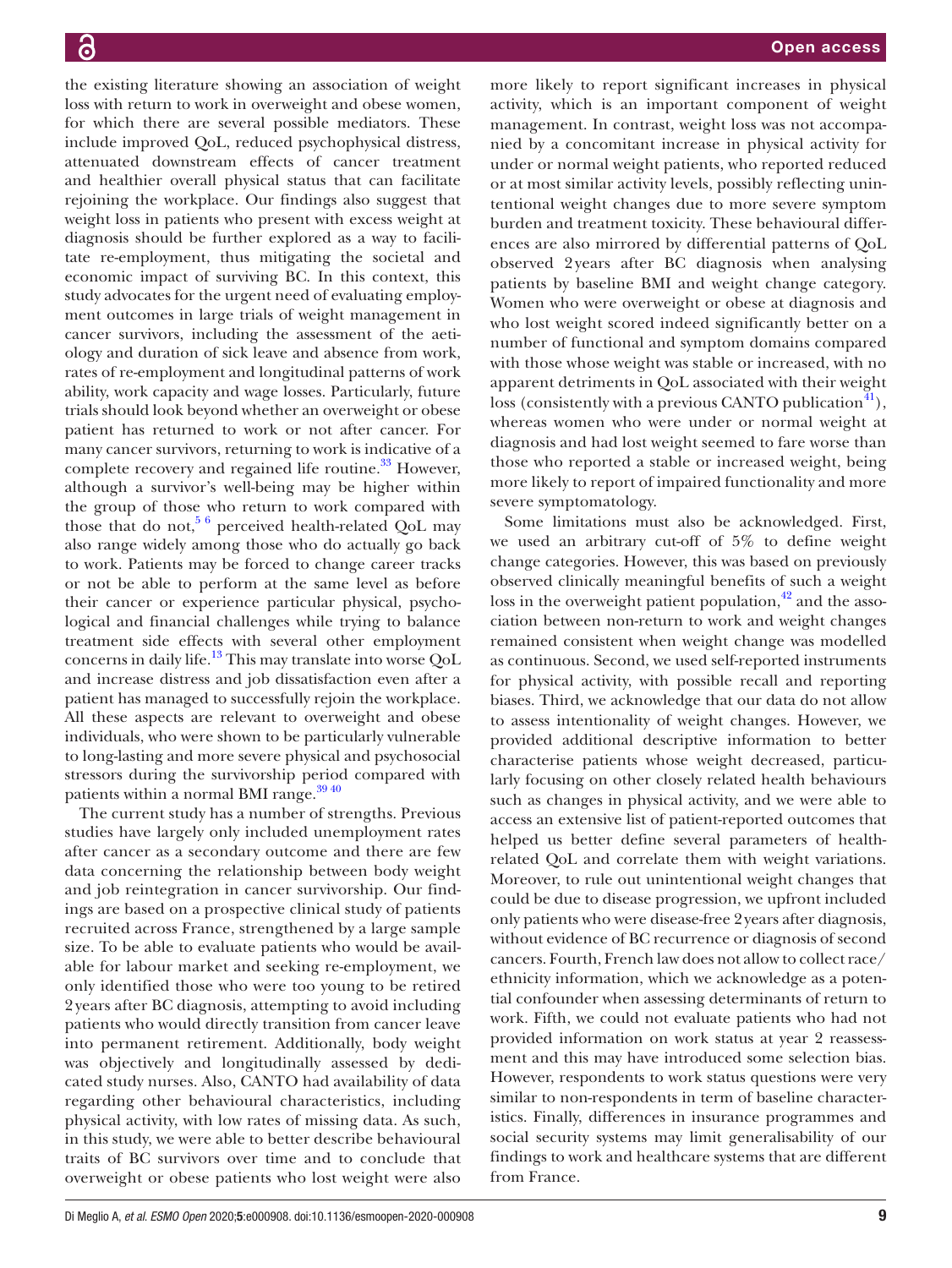the existing literature showing an association of weight loss with return to work in overweight and obese women, for which there are several possible mediators. These include improved QoL, reduced psychophysical distress, attenuated downstream effects of cancer treatment and healthier overall physical status that can facilitate rejoining the workplace. Our findings also suggest that weight loss in patients who present with excess weight at diagnosis should be further explored as a way to facilitate re-employment, thus mitigating the societal and economic impact of surviving BC. In this context, this study advocates for the urgent need of evaluating employment outcomes in large trials of weight management in cancer survivors, including the assessment of the aetiology and duration of sick leave and absence from work, rates of re-employment and longitudinal patterns of work ability, work capacity and wage losses. Particularly, future trials should look beyond whether an overweight or obese patient has returned to work or not after cancer. For many cancer survivors, returning to work is indicative of a complete recovery and regained life routine.<sup>33</sup> However, although a survivor's well-being may be higher within the group of those who return to work compared with those that do not,<sup>5 6</sup> perceived health-related QoL may also range widely among those who do actually go back to work. Patients may be forced to change career tracks or not be able to perform at the same level as before their cancer or experience particular physical, psychological and financial challenges while trying to balance treatment side effects with several other employment concerns in daily life.[13](#page-9-10) This may translate into worse QoL and increase distress and job dissatisfaction even after a patient has managed to successfully rejoin the workplace. All these aspects are relevant to overweight and obese individuals, who were shown to be particularly vulnerable to long-lasting and more severe physical and psychosocial stressors during the survivorship period compared with patients within a normal BMI range. $39\frac{40}{10}$ 

The current study has a number of strengths. Previous studies have largely only included unemployment rates after cancer as a secondary outcome and there are few data concerning the relationship between body weight and job reintegration in cancer survivorship. Our findings are based on a prospective clinical study of patients recruited across France, strengthened by a large sample size. To be able to evaluate patients who would be available for labour market and seeking re-employment, we only identified those who were too young to be retired 2 years after BC diagnosis, attempting to avoid including patients who would directly transition from cancer leave into permanent retirement. Additionally, body weight was objectively and longitudinally assessed by dedicated study nurses. Also, CANTO had availability of data regarding other behavioural characteristics, including physical activity, with low rates of missing data. As such, in this study, we were able to better describe behavioural traits of BC survivors over time and to conclude that overweight or obese patients who lost weight were also

more likely to report significant increases in physical activity, which is an important component of weight management. In contrast, weight loss was not accompanied by a concomitant increase in physical activity for under or normal weight patients, who reported reduced or at most similar activity levels, possibly reflecting unintentional weight changes due to more severe symptom burden and treatment toxicity. These behavioural differences are also mirrored by differential patterns of QoL observed 2 years after BC diagnosis when analysing patients by baseline BMI and weight change category. Women who were overweight or obese at diagnosis and who lost weight scored indeed significantly better on a number of functional and symptom domains compared with those whose weight was stable or increased, with no apparent detriments in QoL associated with their weight loss (consistently with a previous CANTO publication<sup>41</sup>), whereas women who were under or normal weight at diagnosis and had lost weight seemed to fare worse than those who reported a stable or increased weight, being more likely to report of impaired functionality and more severe symptomatology.

Some limitations must also be acknowledged. First, we used an arbitrary cut-off of 5% to define weight change categories. However, this was based on previously observed clinically meaningful benefits of such a weight loss in the overweight patient population, $42$  and the association between non-return to work and weight changes remained consistent when weight change was modelled as continuous. Second, we used self-reported instruments for physical activity, with possible recall and reporting biases. Third, we acknowledge that our data do not allow to assess intentionality of weight changes. However, we provided additional descriptive information to better characterise patients whose weight decreased, particularly focusing on other closely related health behaviours such as changes in physical activity, and we were able to access an extensive list of patient-reported outcomes that helped us better define several parameters of healthrelated QoL and correlate them with weight variations. Moreover, to rule out unintentional weight changes that could be due to disease progression, we upfront included only patients who were disease-free 2years after diagnosis, without evidence of BC recurrence or diagnosis of second cancers. Fourth, French law does not allow to collect race/ ethnicity information, which we acknowledge as a potential confounder when assessing determinants of return to work. Fifth, we could not evaluate patients who had not provided information on work status at year 2 reassessment and this may have introduced some selection bias. However, respondents to work status questions were very similar to non-respondents in term of baseline characteristics. Finally, differences in insurance programmes and social security systems may limit generalisability of our findings to work and healthcare systems that are different from France.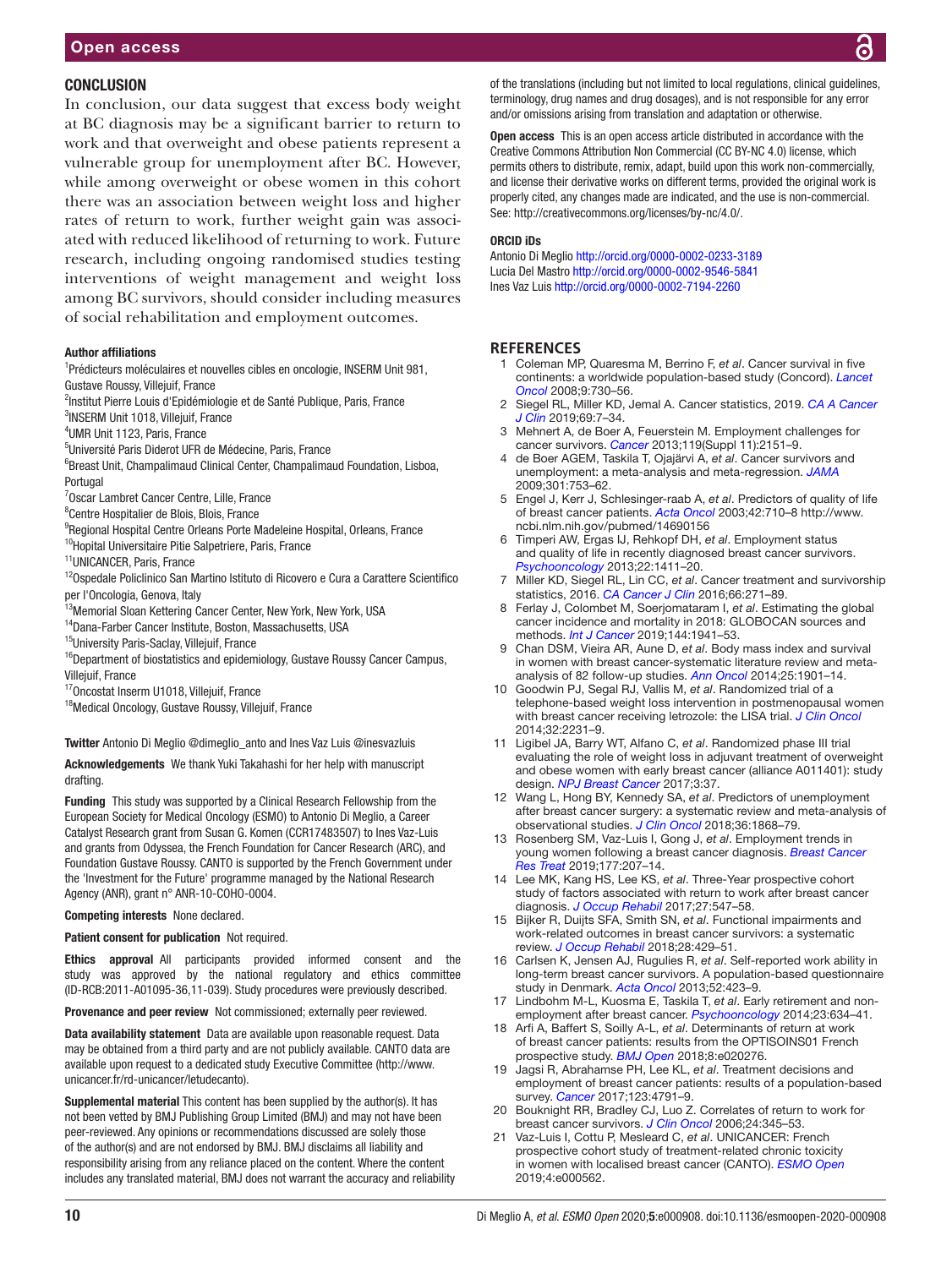## **CONCLUSION**

In conclusion, our data suggest that excess body weight at BC diagnosis may be a significant barrier to return to work and that overweight and obese patients represent a vulnerable group for unemployment after BC. However, while among overweight or obese women in this cohort there was an association between weight loss and higher rates of return to work, further weight gain was associated with reduced likelihood of returning to work. Future research, including ongoing randomised studies testing interventions of weight management and weight loss among BC survivors, should consider including measures of social rehabilitation and employment outcomes.

## Author affiliations

<sup>1</sup>Prédicteurs moléculaires et nouvelles cibles en oncologie, INSERM Unit 981,

Gustave Roussy, Villejuif, France

<sup>2</sup>Institut Pierre Louis d'Epidémiologie et de Santé Publique, Paris, France

3 INSERM Unit 1018, Villejuif, France

4 UMR Unit 1123, Paris, France

5 Université Paris Diderot UFR de Médecine, Paris, France

<sup>6</sup>Breast Unit, Champalimaud Clinical Center, Champalimaud Foundation, Lisboa, Portugal

7 Oscar Lambret Cancer Centre, Lille, France

<sup>8</sup> Centre Hospitalier de Blois, Blois, France

<sup>9</sup>Regional Hospital Centre Orleans Porte Madeleine Hospital, Orleans, France

<sup>10</sup>Hopital Universitaire Pitie Salpetriere, Paris, France

11UNICANCER, Paris, France

<sup>12</sup>Ospedale Policlinico San Martino Istituto di Ricovero e Cura a Carattere Scientifico per l'Oncologia, Genova, Italy

<sup>13</sup>Memorial Sloan Kettering Cancer Center, New York, New York, USA

14Dana-Farber Cancer Institute, Boston, Massachusetts, USA

<sup>15</sup>University Paris-Saclay, Villeiuif, France

<sup>16</sup>Department of biostatistics and epidemiology, Gustave Roussy Cancer Campus, Villejuif, France

17Oncostat Inserm U1018, Villejuif, France

<sup>18</sup>Medical Oncology, Gustave Roussy, Villejuif, France

Twitter Antonio Di Meglio [@dimeglio\\_anto](https://twitter.com/dimeglio_anto) and Ines Vaz Luis [@inesvazluis](https://twitter.com/inesvazluis)

Acknowledgements We thank Yuki Takahashi for her help with manuscript drafting.

Funding This study was supported by a Clinical Research Fellowship from the European Society for Medical Oncology (ESMO) to Antonio Di Meglio, a Career Catalyst Research grant from Susan G. Komen (CCR17483507) to Ines Vaz-Luis and grants from Odyssea, the French Foundation for Cancer Research (ARC), and Foundation Gustave Roussy. CANTO is supported by the French Government under the 'Investment for the Future' programme managed by the National Research Agency (ANR), grant n° ANR-10-COHO-0004.

Competing interests None declared.

Patient consent for publication Not required.

Ethics approval All participants provided informed consent and the study was approved by the national regulatory and ethics committee (ID-RCB:2011-A01095-36,11-039). Study procedures were previously described.

Provenance and peer review Not commissioned; externally peer reviewed.

Data availability statement Data are available upon reasonable request. Data may be obtained from a third party and are not publicly available. CANTO data are available upon request to a dedicated study Executive Committee [\(http://www.](http://www.unicancer.fr/rd-unicancer/letudecanto) [unicancer.fr/rd-unicancer/letudecanto](http://www.unicancer.fr/rd-unicancer/letudecanto)).

Supplemental material This content has been supplied by the author(s). It has not been vetted by BMJ Publishing Group Limited (BMJ) and may not have been peer-reviewed. Any opinions or recommendations discussed are solely those of the author(s) and are not endorsed by BMJ. BMJ disclaims all liability and responsibility arising from any reliance placed on the content. Where the content includes any translated material, BMJ does not warrant the accuracy and reliability of the translations (including but not limited to local regulations, clinical guidelines, terminology, drug names and drug dosages), and is not responsible for any error and/or omissions arising from translation and adaptation or otherwise.

**Open access** This is an open access article distributed in accordance with the Creative Commons Attribution Non Commercial (CC BY-NC 4.0) license, which permits others to distribute, remix, adapt, build upon this work non-commercially, and license their derivative works on different terms, provided the original work is properly cited, any changes made are indicated, and the use is non-commercial. See: <http://creativecommons.org/licenses/by-nc/4.0/>.

#### ORCID iDs

Antonio Di Meglio <http://orcid.org/0000-0002-0233-3189> Lucia Del Mastro <http://orcid.org/0000-0002-9546-5841> Ines Vaz Luis<http://orcid.org/0000-0002-7194-2260>

#### **REFERENCES**

- <span id="page-9-0"></span>1 Coleman MP, Quaresma M, Berrino F, *et al*. Cancer survival in five continents: a worldwide population-based study (Concord). *[Lancet](http://dx.doi.org/10.1016/S1470-2045(08)70179-7)  [Oncol](http://dx.doi.org/10.1016/S1470-2045(08)70179-7)* 2008;9:730–56.
- 2 Siegel RL, Miller KD, Jemal A. Cancer statistics, 2019. *[CA A Cancer](http://dx.doi.org/10.3322/caac.21551)  [J Clin](http://dx.doi.org/10.3322/caac.21551)* 2019;69:7–34.
- <span id="page-9-1"></span>3 Mehnert A, de Boer A, Feuerstein M. Employment challenges for cancer survivors. *[Cancer](http://dx.doi.org/10.1002/cncr.28067)* 2013;119(Suppl 11):2151–9.
- <span id="page-9-2"></span>4 de Boer AGEM, Taskila T, Ojajärvi A, *et al*. Cancer survivors and unemployment: a meta-analysis and meta-regression. *[JAMA](http://dx.doi.org/10.1001/jama.2009.187)* 2009;301:753–62.
- <span id="page-9-3"></span>5 Engel J, Kerr J, Schlesinger-raab A, *et al*. Predictors of quality of life of breast cancer patients. *[Acta Oncol](http://dx.doi.org/10.1080/02841860310017658)* 2003;42:710–8 [http://www.](http://www.ncbi.nlm.nih.gov/pubmed/14690156) [ncbi.nlm.nih.gov/pubmed/14690156](http://www.ncbi.nlm.nih.gov/pubmed/14690156)
- 6 Timperi AW, Ergas IJ, Rehkopf DH, *et al*. Employment status and quality of life in recently diagnosed breast cancer survivors. *[Psychooncology](http://dx.doi.org/10.1002/pon.3157)* 2013;22:1411–20.
- <span id="page-9-4"></span>7 Miller KD, Siegel RL, Lin CC, *et al*. Cancer treatment and survivorship statistics, 2016. *[CA Cancer J Clin](http://dx.doi.org/10.3322/caac.21349)* 2016;66:271–89.
- 8 Ferlay J, Colombet M, Soerjomataram I, *et al*. Estimating the global cancer incidence and mortality in 2018: GLOBOCAN sources and methods. *[Int J Cancer](http://dx.doi.org/10.1002/ijc.31937)* 2019;144:1941–53.
- <span id="page-9-5"></span>9 Chan DSM, Vieira AR, Aune D, *et al*. Body mass index and survival in women with breast cancer-systematic literature review and metaanalysis of 82 follow-up studies. *[Ann Oncol](http://dx.doi.org/10.1093/annonc/mdu042)* 2014;25:1901–14.
- <span id="page-9-6"></span>10 Goodwin PJ, Segal RJ, Vallis M, *et al*. Randomized trial of a telephone-based weight loss intervention in postmenopausal women with breast cancer receiving letrozole: the LISA trial. *[J Clin Oncol](http://dx.doi.org/10.1200/JCO.2013.53.1517)* 2014;32:2231–9.
- <span id="page-9-14"></span>11 Ligibel JA, Barry WT, Alfano C, *et al*. Randomized phase III trial evaluating the role of weight loss in adjuvant treatment of overweight and obese women with early breast cancer (alliance A011401): study design. *[NPJ Breast Cancer](http://dx.doi.org/10.1038/s41523-017-0040-8)* 2017;3:37.
- <span id="page-9-7"></span>12 Wang L, Hong BY, Kennedy SA, *et al*. Predictors of unemployment after breast cancer surgery: a systematic review and meta-analysis of observational studies. *[J Clin Oncol](http://dx.doi.org/10.1200/JCO.2017.77.3663)* 2018;36:1868–79.
- <span id="page-9-10"></span>13 Rosenberg SM, Vaz-Luis I, Gong J, *et al*. Employment trends in young women following a breast cancer diagnosis. *[Breast Cancer](http://dx.doi.org/10.1007/s10549-019-05293-x)  [Res Treat](http://dx.doi.org/10.1007/s10549-019-05293-x)* 2019;177:207–14.
- <span id="page-9-8"></span>14 Lee MK, Kang HS, Lee KS, *et al*. Three-Year prospective cohort study of factors associated with return to work after breast cancer diagnosis. *[J Occup Rehabil](http://dx.doi.org/10.1007/s10926-016-9685-7)* 2017;27:547–58.
- <span id="page-9-9"></span>15 Bijker R, Duijts SFA, Smith SN, *et al*. Functional impairments and work-related outcomes in breast cancer survivors: a systematic review. *[J Occup Rehabil](http://dx.doi.org/10.1007/s10926-017-9736-8)* 2018;28:429–51.
- 16 Carlsen K, Jensen AJ, Rugulies R, *et al*. Self-reported work ability in long-term breast cancer survivors. A population-based questionnaire study in Denmark. *[Acta Oncol](http://dx.doi.org/10.3109/0284186X.2012.744877)* 2013;52:423–9.
- 17 Lindbohm M-L, Kuosma E, Taskila T, *et al*. Early retirement and nonemployment after breast cancer. *[Psychooncology](http://dx.doi.org/10.1002/pon.3459)* 2014;23:634–41.
- <span id="page-9-11"></span>18 Arfi A, Baffert S, Soilly A-L, *et al*. Determinants of return at work of breast cancer patients: results from the OPTISOINS01 French prospective study. *[BMJ Open](http://dx.doi.org/10.1136/bmjopen-2017-020276)* 2018;8:e020276.
- 19 Jagsi R, Abrahamse PH, Lee KL, *et al*. Treatment decisions and employment of breast cancer patients: results of a population‐based survey. *[Cancer](http://dx.doi.org/10.1002/cncr.30959)* 2017;123:4791–9.
- <span id="page-9-12"></span>20 Bouknight RR, Bradley CJ, Luo Z. Correlates of return to work for breast cancer survivors. *[J Clin Oncol](http://dx.doi.org/10.1200/JCO.2004.00.4929)* 2006;24:345–53.
- <span id="page-9-13"></span>21 Vaz-Luis I, Cottu P, Mesleard C, *et al*. UNICANCER: French prospective cohort study of treatment-related chronic toxicity in women with localised breast cancer (CANTO). *[ESMO Open](http://dx.doi.org/10.1136/esmoopen-2019-000562)* 2019;4:e000562.